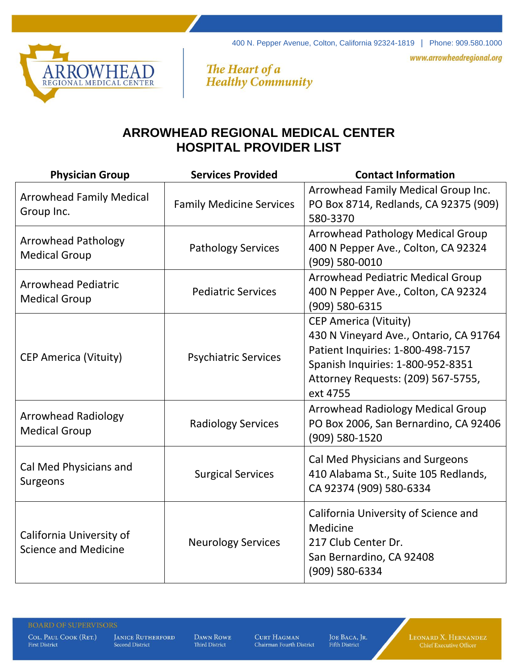400 N. Pepper Avenue, Colton, California 92324-1819 | Phone: 909.580.1000

www.arrowheadregional.org



The Heart of a<br>Healthy Community

## **ARROWHEAD REGIONAL MEDICAL CENTER HOSPITAL PROVIDER LIST**

| <b>Physician Group</b>                                  | <b>Services Provided</b>        | <b>Contact Information</b>                                                                                                                                                                         |
|---------------------------------------------------------|---------------------------------|----------------------------------------------------------------------------------------------------------------------------------------------------------------------------------------------------|
| <b>Arrowhead Family Medical</b><br>Group Inc.           | <b>Family Medicine Services</b> | Arrowhead Family Medical Group Inc.<br>PO Box 8714, Redlands, CA 92375 (909)<br>580-3370                                                                                                           |
| <b>Arrowhead Pathology</b><br><b>Medical Group</b>      | <b>Pathology Services</b>       | <b>Arrowhead Pathology Medical Group</b><br>400 N Pepper Ave., Colton, CA 92324<br>(909) 580-0010                                                                                                  |
| <b>Arrowhead Pediatric</b><br><b>Medical Group</b>      | <b>Pediatric Services</b>       | <b>Arrowhead Pediatric Medical Group</b><br>400 N Pepper Ave., Colton, CA 92324<br>(909) 580-6315                                                                                                  |
| <b>CEP America (Vituity)</b>                            | <b>Psychiatric Services</b>     | <b>CEP America (Vituity)</b><br>430 N Vineyard Ave., Ontario, CA 91764<br>Patient Inquiries: 1-800-498-7157<br>Spanish Inquiries: 1-800-952-8351<br>Attorney Requests: (209) 567-5755,<br>ext 4755 |
| <b>Arrowhead Radiology</b><br><b>Medical Group</b>      | <b>Radiology Services</b>       | <b>Arrowhead Radiology Medical Group</b><br>PO Box 2006, San Bernardino, CA 92406<br>(909) 580-1520                                                                                                |
| Cal Med Physicians and<br>Surgeons                      | <b>Surgical Services</b>        | Cal Med Physicians and Surgeons<br>410 Alabama St., Suite 105 Redlands,<br>CA 92374 (909) 580-6334                                                                                                 |
| California University of<br><b>Science and Medicine</b> | <b>Neurology Services</b>       | California University of Science and<br>Medicine<br>217 Club Center Dr.<br>San Bernardino, CA 92408<br>(909) 580-6334                                                                              |

COL. PAUL COOK (RET.) **First District** 

**JANICE RUTHERFORD** Second District

DAWN ROWE Third District

CURT HAGMAN Chairman Fourth District JOE BACA, JR. **Fifth District** 

LEONARD X. HERNANDEZ<br>Chief Executive Officer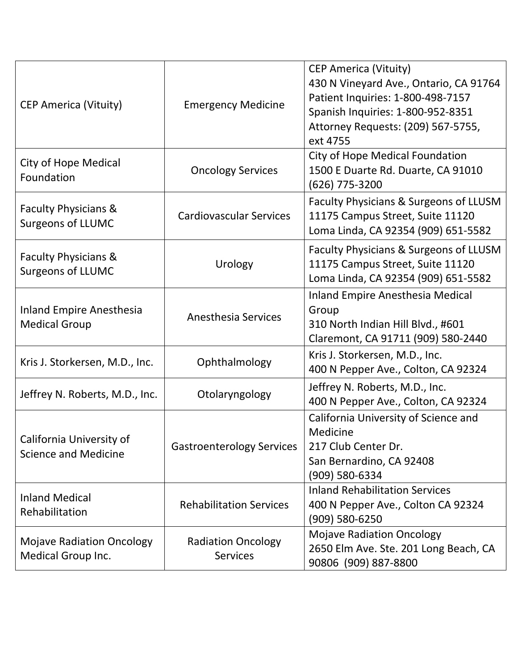| <b>CEP America (Vituity)</b>                                  | <b>Emergency Medicine</b>                    | <b>CEP America (Vituity)</b><br>430 N Vineyard Ave., Ontario, CA 91764<br>Patient Inquiries: 1-800-498-7157<br>Spanish Inquiries: 1-800-952-8351<br>Attorney Requests: (209) 567-5755,<br>ext 4755 |
|---------------------------------------------------------------|----------------------------------------------|----------------------------------------------------------------------------------------------------------------------------------------------------------------------------------------------------|
| <b>City of Hope Medical</b><br>Foundation                     | <b>Oncology Services</b>                     | <b>City of Hope Medical Foundation</b><br>1500 E Duarte Rd. Duarte, CA 91010<br>(626) 775-3200                                                                                                     |
| <b>Faculty Physicians &amp;</b><br><b>Surgeons of LLUMC</b>   | <b>Cardiovascular Services</b>               | Faculty Physicians & Surgeons of LLUSM<br>11175 Campus Street, Suite 11120<br>Loma Linda, CA 92354 (909) 651-5582                                                                                  |
| <b>Faculty Physicians &amp;</b><br><b>Surgeons of LLUMC</b>   | Urology                                      | Faculty Physicians & Surgeons of LLUSM<br>11175 Campus Street, Suite 11120<br>Loma Linda, CA 92354 (909) 651-5582                                                                                  |
| <b>Inland Empire Anesthesia</b><br><b>Medical Group</b>       | <b>Anesthesia Services</b>                   | Inland Empire Anesthesia Medical<br>Group<br>310 North Indian Hill Blvd., #601<br>Claremont, CA 91711 (909) 580-2440                                                                               |
| Kris J. Storkersen, M.D., Inc.                                | Ophthalmology                                | Kris J. Storkersen, M.D., Inc.<br>400 N Pepper Ave., Colton, CA 92324                                                                                                                              |
| Jeffrey N. Roberts, M.D., Inc.                                | Otolaryngology                               | Jeffrey N. Roberts, M.D., Inc.<br>400 N Pepper Ave., Colton, CA 92324                                                                                                                              |
| California University of<br><b>Science and Medicine</b>       | <b>Gastroenterology Services</b>             | California University of Science and<br>Medicine<br>217 Club Center Dr.<br>San Bernardino, CA 92408<br>(909) 580-6334                                                                              |
| <b>Inland Medical</b><br>Rehabilitation                       | <b>Rehabilitation Services</b>               | <b>Inland Rehabilitation Services</b><br>400 N Pepper Ave., Colton CA 92324<br>(909) 580-6250                                                                                                      |
| <b>Mojave Radiation Oncology</b><br><b>Medical Group Inc.</b> | <b>Radiation Oncology</b><br><b>Services</b> | <b>Mojave Radiation Oncology</b><br>2650 Elm Ave. Ste. 201 Long Beach, CA<br>90806 (909) 887-8800                                                                                                  |